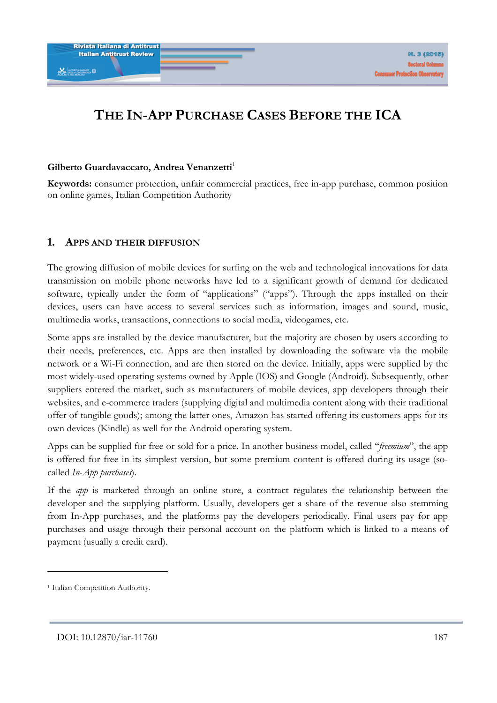# **THE IN-APP PURCHASE CASES BEFORE THE ICA**

#### Gilberto Guardavaccaro, Andrea Venanzetti<sup>1</sup>

**Keywords:** consumer protection, unfair commercial practices, free in-app purchase, common position on online games, Italian Competition Authority

#### **1. APPS AND THEIR DIFFUSION**

The growing diffusion of mobile devices for surfing on the web and technological innovations for data transmission on mobile phone networks have led to a significant growth of demand for dedicated software, typically under the form of "applications" ("apps"). Through the apps installed on their devices, users can have access to several services such as information, images and sound, music, multimedia works, transactions, connections to social media, videogames, etc.

Some apps are installed by the device manufacturer, but the majority are chosen by users according to their needs, preferences, etc. Apps are then installed by downloading the software via the mobile network or a Wi-Fi connection, and are then stored on the device. Initially, apps were supplied by the most widely-used operating systems owned by Apple (IOS) and Google (Android). Subsequently, other suppliers entered the market, such as manufacturers of mobile devices, app developers through their websites, and e-commerce traders (supplying digital and multimedia content along with their traditional offer of tangible goods); among the latter ones, Amazon has started offering its customers apps for its own devices (Kindle) as well for the Android operating system.

Apps can be supplied for free or sold for a price. In another business model, called "*freemium*", the app is offered for free in its simplest version, but some premium content is offered during its usage (socalled *In-App purchases*).

If the *app* is marketed through an online store, a contract regulates the relationship between the developer and the supplying platform. Usually, developers get a share of the revenue also stemming from In-App purchases, and the platforms pay the developers periodically. Final users pay for app purchases and usage through their personal account on the platform which is linked to a means of payment (usually a credit card).

<sup>&</sup>lt;sup>1</sup> Italian Competition Authority.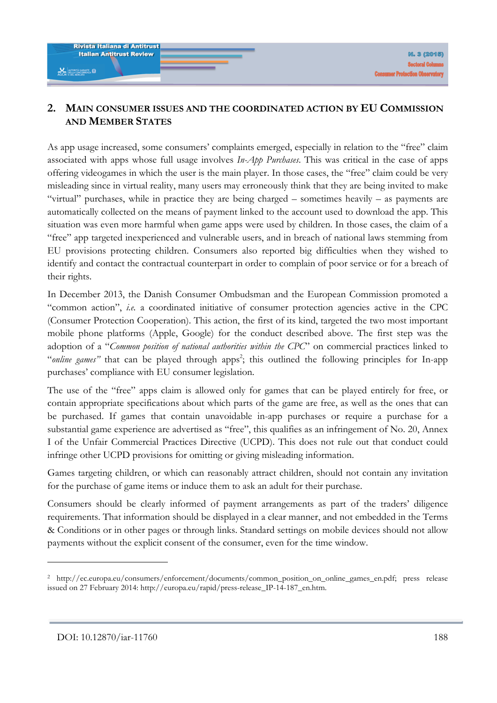### **2. MAIN CONSUMER ISSUES AND THE COORDINATED ACTION BY EU COMMISSION AND MEMBER STATES**

As app usage increased, some consumers' complaints emerged, especially in relation to the "free" claim associated with apps whose full usage involves *In-App Purchases*. This was critical in the case of apps offering videogames in which the user is the main player. In those cases, the "free" claim could be very misleading since in virtual reality, many users may erroneously think that they are being invited to make "virtual" purchases, while in practice they are being charged – sometimes heavily – as payments are automatically collected on the means of payment linked to the account used to download the app. This situation was even more harmful when game apps were used by children. In those cases, the claim of a "free" app targeted inexperienced and vulnerable users, and in breach of national laws stemming from EU provisions protecting children. Consumers also reported big difficulties when they wished to identify and contact the contractual counterpart in order to complain of poor service or for a breach of their rights.

In December 2013, the Danish Consumer Ombudsman and the European Commission promoted a "common action", *i.e.* a coordinated initiative of consumer protection agencies active in the CPC (Consumer Protection Cooperation). This action, the first of its kind, targeted the two most important mobile phone platforms (Apple, Google) for the conduct described above. The first step was the adoption of a "*Common position of national authorities within the CPC*" on commercial practices linked to "online games" that can be played through apps<sup>2</sup>; this outlined the following principles for In-app purchases' compliance with EU consumer legislation.

The use of the "free" apps claim is allowed only for games that can be played entirely for free, or contain appropriate specifications about which parts of the game are free, as well as the ones that can be purchased. If games that contain unavoidable in-app purchases or require a purchase for a substantial game experience are advertised as "free", this qualifies as an infringement of No. 20, Annex I of the Unfair Commercial Practices Directive (UCPD). This does not rule out that conduct could infringe other UCPD provisions for omitting or giving misleading information.

Games targeting children, or which can reasonably attract children, should not contain any invitation for the purchase of game items or induce them to ask an adult for their purchase.

Consumers should be clearly informed of payment arrangements as part of the traders' diligence requirements. That information should be displayed in a clear manner, and not embedded in the Terms & Conditions or in other pages or through links. Standard settings on mobile devices should not allow payments without the explicit consent of the consumer, even for the time window.

<sup>2</sup> http://ec.europa.eu/consumers/enforcement/documents/common\_position\_on\_online\_games\_en.pdf; press release issued on 27 February 2014: http://europa.eu/rapid/press-release\_IP-14-187\_en.htm.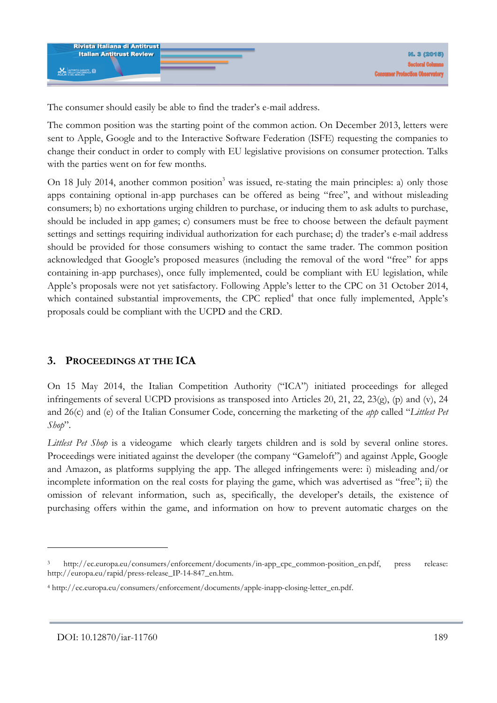The consumer should easily be able to find the trader's e-mail address.

The common position was the starting point of the common action. On December 2013, letters were sent to Apple, Google and to the Interactive Software Federation (ISFE) requesting the companies to change their conduct in order to comply with EU legislative provisions on consumer protection. Talks with the parties went on for few months.

On 18 July 2014, another common position<sup>3</sup> was issued, re-stating the main principles: a) only those apps containing optional in-app purchases can be offered as being "free", and without misleading consumers; b) no exhortations urging children to purchase, or inducing them to ask adults to purchase, should be included in app games; c) consumers must be free to choose between the default payment settings and settings requiring individual authorization for each purchase; d) the trader's e-mail address should be provided for those consumers wishing to contact the same trader. The common position acknowledged that Google's proposed measures (including the removal of the word "free" for apps containing in-app purchases), once fully implemented, could be compliant with EU legislation, while Apple's proposals were not yet satisfactory. Following Apple's letter to the CPC on 31 October 2014, which contained substantial improvements, the CPC replied<sup>4</sup> that once fully implemented, Apple's proposals could be compliant with the UCPD and the CRD.

## **3. PROCEEDINGS AT THE ICA**

On 15 May 2014, the Italian Competition Authority ("ICA") initiated proceedings for alleged infringements of several UCPD provisions as transposed into Articles 20, 21, 22, 23(g), (p) and (v), 24 and 26(c) and (e) of the Italian Consumer Code, concerning the marketing of the *app* called "*Littlest Pet Shop*".

*Littlest Pet Shop* is a videogame which clearly targets children and is sold by several online stores. Proceedings were initiated against the developer (the company "Gameloft") and against Apple, Google and Amazon, as platforms supplying the app. The alleged infringements were: i) misleading and/or incomplete information on the real costs for playing the game, which was advertised as "free"; ii) the omission of relevant information, such as, specifically, the developer's details, the existence of purchasing offers within the game, and information on how to prevent automatic charges on the

<sup>3</sup> http://ec.europa.eu/consumers/enforcement/documents/in-app\_cpc\_common-position\_en.pdf, press release: http://europa.eu/rapid/press-release\_IP-14-847\_en.htm.

<sup>4</sup> http://ec.europa.eu/consumers/enforcement/documents/apple-inapp-closing-letter\_en.pdf.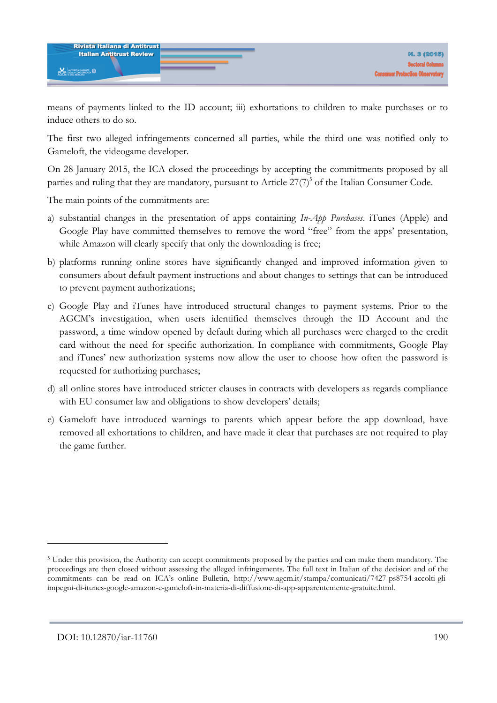means of payments linked to the ID account; iii) exhortations to children to make purchases or to induce others to do so.

The first two alleged infringements concerned all parties, while the third one was notified only to Gameloft, the videogame developer.

On 28 January 2015, the ICA closed the proceedings by accepting the commitments proposed by all parties and ruling that they are mandatory, pursuant to Article  $27(7)^5$  of the Italian Consumer Code.

The main points of the commitments are:

- a) substantial changes in the presentation of apps containing *In-App Purchases*. iTunes (Apple) and Google Play have committed themselves to remove the word "free" from the apps' presentation, while Amazon will clearly specify that only the downloading is free;
- b) platforms running online stores have significantly changed and improved information given to consumers about default payment instructions and about changes to settings that can be introduced to prevent payment authorizations;
- c) Google Play and iTunes have introduced structural changes to payment systems. Prior to the AGCM's investigation, when users identified themselves through the ID Account and the password, a time window opened by default during which all purchases were charged to the credit card without the need for specific authorization. In compliance with commitments, Google Play and iTunes' new authorization systems now allow the user to choose how often the password is requested for authorizing purchases;
- d) all online stores have introduced stricter clauses in contracts with developers as regards compliance with EU consumer law and obligations to show developers' details;
- e) Gameloft have introduced warnings to parents which appear before the app download, have removed all exhortations to children, and have made it clear that purchases are not required to play the game further.

<sup>&</sup>lt;sup>5</sup> Under this provision, the Authority can accept commitments proposed by the parties and can make them mandatory. The proceedings are then closed without assessing the alleged infringements. The full text in Italian of the decision and of the commitments can be read on ICA's online Bulletin, http://www.agcm.it/stampa/comunicati/7427-ps8754-accolti-gliimpegni-di-itunes-google-amazon-e-gameloft-in-materia-di-diffusione-di-app-apparentemente-gratuite.html.